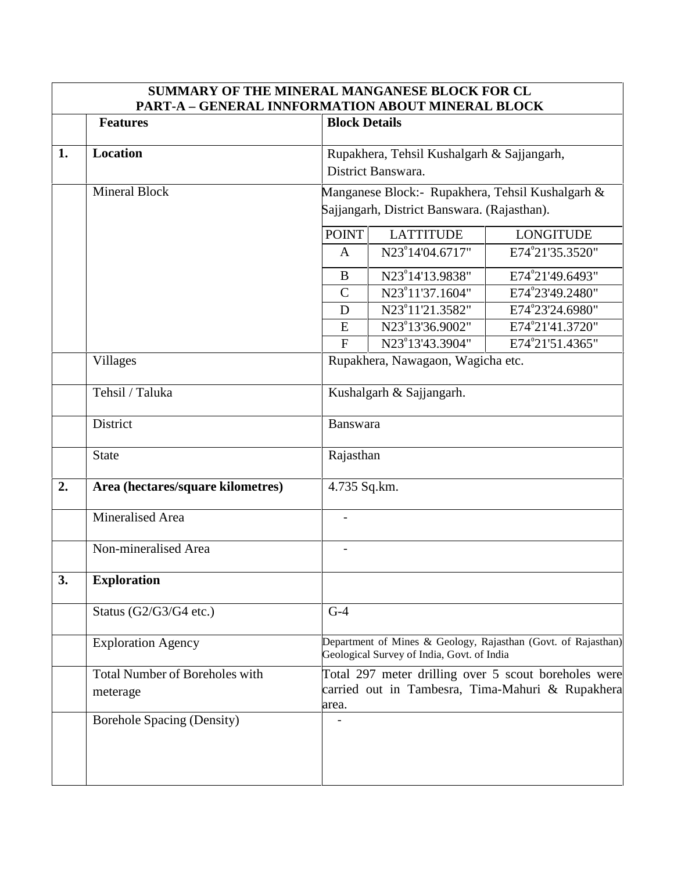|    | <b>Features</b>                       |                                                                                                                      | <b>PART-A - GENERAL INNFORMATION ABOUT MINERAL BLOCK</b><br><b>Block Details</b> |                  |  |
|----|---------------------------------------|----------------------------------------------------------------------------------------------------------------------|----------------------------------------------------------------------------------|------------------|--|
|    |                                       |                                                                                                                      |                                                                                  |                  |  |
| 1. | <b>Location</b>                       | Rupakhera, Tehsil Kushalgarh & Sajjangarh,<br>District Banswara.<br>Manganese Block:- Rupakhera, Tehsil Kushalgarh & |                                                                                  |                  |  |
|    |                                       |                                                                                                                      |                                                                                  |                  |  |
|    | <b>Mineral Block</b>                  |                                                                                                                      |                                                                                  |                  |  |
|    |                                       | Sajjangarh, District Banswara. (Rajasthan).                                                                          |                                                                                  |                  |  |
|    |                                       | <b>POINT</b>                                                                                                         | <b>LATTITUDE</b>                                                                 | <b>LONGITUDE</b> |  |
|    |                                       | $\mathbf{A}$                                                                                                         | N23°14'04.6717"                                                                  | E74°21'35.3520"  |  |
|    |                                       | $\mathbf{B}$                                                                                                         | N23 <sup>°</sup> 14'13.9838"                                                     | E74°21'49.6493"  |  |
|    |                                       | $\mathcal{C}$                                                                                                        | N23 <sup>°</sup> 11'37.1604"                                                     | E74°23'49.2480"  |  |
|    |                                       | $\mathbf D$                                                                                                          | N23 <sup>°</sup> 11'21.3582"                                                     | E74°23'24.6980"  |  |
|    |                                       | ${\bf E}$                                                                                                            | N23°13'36.9002"                                                                  | E74°21'41.3720"  |  |
|    |                                       | F                                                                                                                    | N23°13'43.3904"                                                                  | E74°21'51.4365"  |  |
|    | <b>Villages</b>                       |                                                                                                                      | Rupakhera, Nawagaon, Wagicha etc.                                                |                  |  |
|    | Tehsil / Taluka                       | Kushalgarh & Sajjangarh.                                                                                             |                                                                                  |                  |  |
|    | District                              | Banswara                                                                                                             |                                                                                  |                  |  |
|    | <b>State</b>                          | Rajasthan                                                                                                            |                                                                                  |                  |  |
| 2. | Area (hectares/square kilometres)     | 4.735 Sq.km.                                                                                                         |                                                                                  |                  |  |
|    | Mineralised Area                      | $\frac{1}{2}$                                                                                                        |                                                                                  |                  |  |
|    | Non-mineralised Area                  | $\overline{a}$                                                                                                       |                                                                                  |                  |  |
| 3. | <b>Exploration</b>                    |                                                                                                                      |                                                                                  |                  |  |
|    | Status (G2/G3/G4 etc.)                | $G-4$                                                                                                                |                                                                                  |                  |  |
|    | <b>Exploration Agency</b>             | Department of Mines & Geology, Rajasthan (Govt. of Rajasthan)<br>Geological Survey of India, Govt. of India          |                                                                                  |                  |  |
|    | <b>Total Number of Boreholes with</b> | Total 297 meter drilling over 5 scout boreholes were                                                                 |                                                                                  |                  |  |
|    | meterage                              | carried out in Tambesra, Tima-Mahuri & Rupakhera<br>area.                                                            |                                                                                  |                  |  |
|    |                                       |                                                                                                                      |                                                                                  |                  |  |

**SUMMARY OF THE MINERAL MANGANESE BLOCK FOR CL**

 $\overline{\phantom{a}}$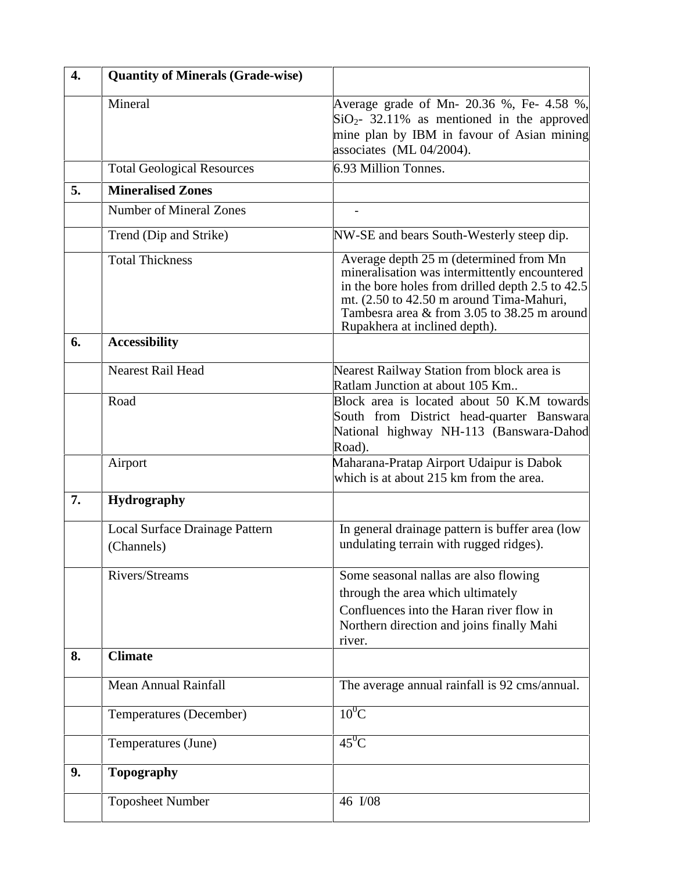| $\overline{4}$ . | <b>Quantity of Minerals (Grade-wise)</b>     |                                                                                                                                                                                                                                                                          |  |
|------------------|----------------------------------------------|--------------------------------------------------------------------------------------------------------------------------------------------------------------------------------------------------------------------------------------------------------------------------|--|
|                  | Mineral                                      | Average grade of Mn- 20.36 %, Fe- 4.58 %,<br>$SiO2$ - 32.11% as mentioned in the approved<br>mine plan by IBM in favour of Asian mining<br>associates (ML 04/2004).                                                                                                      |  |
|                  | <b>Total Geological Resources</b>            | 6.93 Million Tonnes.                                                                                                                                                                                                                                                     |  |
| 5.               | <b>Mineralised Zones</b>                     |                                                                                                                                                                                                                                                                          |  |
|                  | <b>Number of Mineral Zones</b>               |                                                                                                                                                                                                                                                                          |  |
|                  | Trend (Dip and Strike)                       | NW-SE and bears South-Westerly steep dip.                                                                                                                                                                                                                                |  |
|                  | <b>Total Thickness</b>                       | Average depth 25 m (determined from Mn)<br>mineralisation was intermittently encountered<br>in the bore holes from drilled depth 2.5 to 42.5<br>mt. (2.50 to 42.50 m around Tima-Mahuri,<br>Tambesra area & from 3.05 to 38.25 m around<br>Rupakhera at inclined depth). |  |
| 6.               | <b>Accessibility</b>                         |                                                                                                                                                                                                                                                                          |  |
|                  | <b>Nearest Rail Head</b>                     | Nearest Railway Station from block area is<br>Ratlam Junction at about 105 Km                                                                                                                                                                                            |  |
|                  | Road                                         | Block area is located about 50 K.M towards<br>South from District head-quarter Banswara<br>National highway NH-113 (Banswara-Dahod<br>Road).                                                                                                                             |  |
|                  | Airport                                      | Maharana-Pratap Airport Udaipur is Dabok<br>which is at about 215 km from the area.                                                                                                                                                                                      |  |
| 7.               | <b>Hydrography</b>                           |                                                                                                                                                                                                                                                                          |  |
|                  | Local Surface Drainage Pattern<br>(Channels) | In general drainage pattern is buffer area (low<br>undulating terrain with rugged ridges).                                                                                                                                                                               |  |
|                  | Rivers/Streams                               | Some seasonal nallas are also flowing<br>through the area which ultimately<br>Confluences into the Haran river flow in<br>Northern direction and joins finally Mahi<br>river.                                                                                            |  |
| 8.               | <b>Climate</b>                               |                                                                                                                                                                                                                                                                          |  |
|                  | <b>Mean Annual Rainfall</b>                  | The average annual rainfall is 92 cms/annual.                                                                                                                                                                                                                            |  |
|                  | Temperatures (December)                      | $10^0$ C                                                                                                                                                                                                                                                                 |  |
|                  | Temperatures (June)                          | $45^0C$                                                                                                                                                                                                                                                                  |  |
| 9.               | <b>Topography</b>                            |                                                                                                                                                                                                                                                                          |  |
|                  | <b>Toposheet Number</b>                      | 46 I/08                                                                                                                                                                                                                                                                  |  |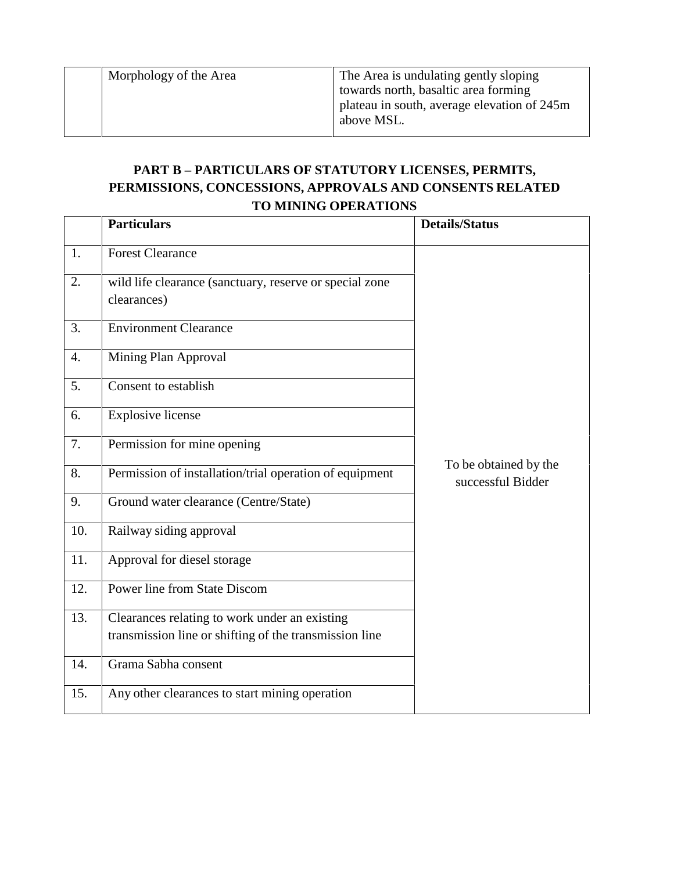Morphology of the Area The Area is undulating gently sloping towards north, basaltic area forming plateau in south, average elevation of 245m above MSL.

## **PART B – PARTICULARS OF STATUTORY LICENSES, PERMITS, PERMISSIONS, CONCESSIONS, APPROVALS AND CONSENTS RELATED TO MINING OPERATIONS**

|     | <b>Particulars</b>                                                     | <b>Details/Status</b>                      |
|-----|------------------------------------------------------------------------|--------------------------------------------|
| 1.  | <b>Forest Clearance</b>                                                |                                            |
| 2.  | wild life clearance (sanctuary, reserve or special zone<br>clearances) |                                            |
| 3.  | <b>Environment Clearance</b>                                           |                                            |
| 4.  | Mining Plan Approval                                                   |                                            |
| 5.  | Consent to establish                                                   |                                            |
| 6.  | <b>Explosive license</b>                                               |                                            |
| 7.  | Permission for mine opening                                            |                                            |
| 8.  | Permission of installation/trial operation of equipment                | To be obtained by the<br>successful Bidder |
| 9.  | Ground water clearance (Centre/State)                                  |                                            |
| 10. | Railway siding approval                                                |                                            |
| 11. | Approval for diesel storage                                            |                                            |
| 12. | Power line from State Discom                                           |                                            |
| 13. | Clearances relating to work under an existing                          |                                            |
|     | transmission line or shifting of the transmission line                 |                                            |
| 14. | Grama Sabha consent                                                    |                                            |
| 15. | Any other clearances to start mining operation                         |                                            |